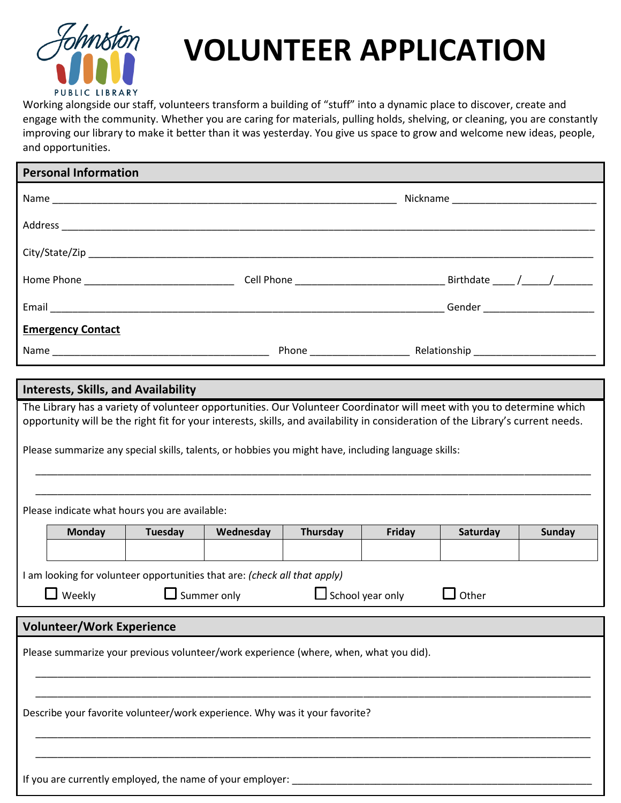

## **VOLUNTEER APPLICATION**

Working alongside our staff, volunteers transform a building of "stuff" into a dynamic place to discover, create and engage with the community. Whether you are caring for materials, pulling holds, shelving, or cleaning, you are constantly improving our library to make it better than it was yesterday. You give us space to grow and welcome new ideas, people, and opportunities.

| <b>Personal Information</b>                                                                                                                                                                                                            |                                                                                                                                                      |         |           |          |        |          |               |  |  |
|----------------------------------------------------------------------------------------------------------------------------------------------------------------------------------------------------------------------------------------|------------------------------------------------------------------------------------------------------------------------------------------------------|---------|-----------|----------|--------|----------|---------------|--|--|
|                                                                                                                                                                                                                                        |                                                                                                                                                      |         |           |          |        |          |               |  |  |
|                                                                                                                                                                                                                                        |                                                                                                                                                      |         |           |          |        |          |               |  |  |
|                                                                                                                                                                                                                                        |                                                                                                                                                      |         |           |          |        |          |               |  |  |
|                                                                                                                                                                                                                                        |                                                                                                                                                      |         |           |          |        |          |               |  |  |
|                                                                                                                                                                                                                                        |                                                                                                                                                      |         |           |          |        |          |               |  |  |
|                                                                                                                                                                                                                                        | <b>Emergency Contact</b>                                                                                                                             |         |           |          |        |          |               |  |  |
|                                                                                                                                                                                                                                        |                                                                                                                                                      |         |           |          |        |          |               |  |  |
|                                                                                                                                                                                                                                        | <b>Interests, Skills, and Availability</b>                                                                                                           |         |           |          |        |          |               |  |  |
| opportunity will be the right fit for your interests, skills, and availability in consideration of the Library's current needs.<br>Please summarize any special skills, talents, or hobbies you might have, including language skills: |                                                                                                                                                      |         |           |          |        |          |               |  |  |
| Please indicate what hours you are available:                                                                                                                                                                                          |                                                                                                                                                      |         |           |          |        |          |               |  |  |
|                                                                                                                                                                                                                                        | <b>Monday</b>                                                                                                                                        | Tuesday | Wednesday | Thursday | Friday | Saturday | <b>Sunday</b> |  |  |
|                                                                                                                                                                                                                                        |                                                                                                                                                      |         |           |          |        |          |               |  |  |
|                                                                                                                                                                                                                                        | I am looking for volunteer opportunities that are: (check all that apply)<br>$\Box$ Weekly<br>$\Box$ Summer only<br>$\Box$ School year only<br>Other |         |           |          |        |          |               |  |  |
| <b>Volunteer/Work Experience</b>                                                                                                                                                                                                       |                                                                                                                                                      |         |           |          |        |          |               |  |  |
| Please summarize your previous volunteer/work experience (where, when, what you did).                                                                                                                                                  |                                                                                                                                                      |         |           |          |        |          |               |  |  |
| Describe your favorite volunteer/work experience. Why was it your favorite?                                                                                                                                                            |                                                                                                                                                      |         |           |          |        |          |               |  |  |
| If you are currently employed, the name of your employer:                                                                                                                                                                              |                                                                                                                                                      |         |           |          |        |          |               |  |  |